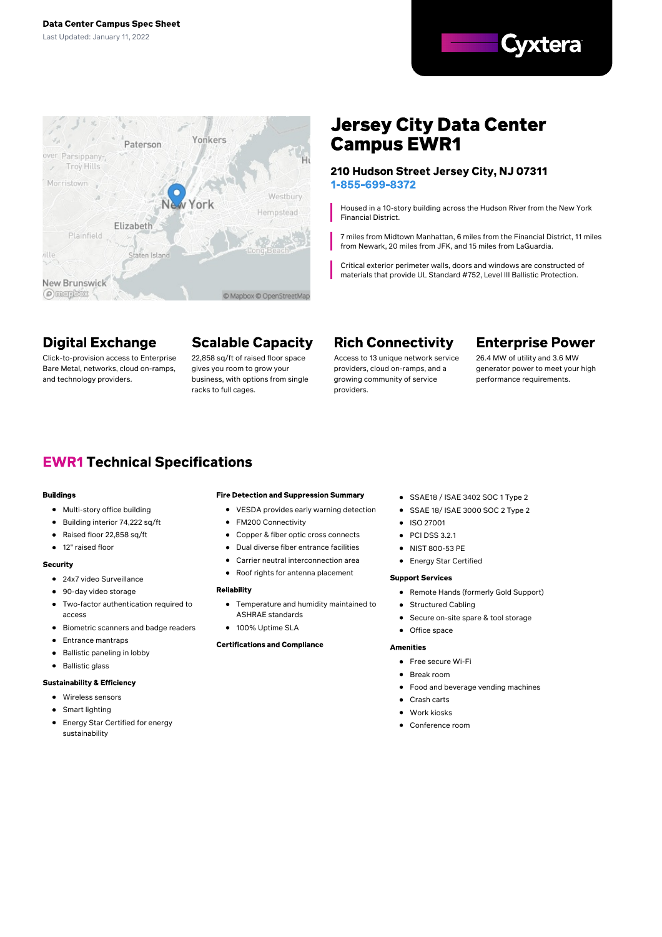



# **Jersey City Data Center Campus EWR1**

#### 210 Hudson Street Jersey City, NJ 07311 1-855-699-8372

Housed in a 10-story building across the Hudson River from the New York Financial District.

7 miles from Midtown Manhattan, 6 miles from the Financial District, 11 miles from Newark, 20 miles from JFK, and 15 miles from LaGuardia.

Critical exterior perimeter walls, doors and windows are constructed of materials that provide UL Standard #752, Level III Ballistic Protection.

# **Digital Exchange**

Click-to-provision access to Enterprise Bare Metal, networks, cloud on-ramps, and technology providers.

# **Scalable Capacity**

22,858 sq/ft of raised floor space gives you room to grow your business, with options from single racks to full cages.

# **Rich Connectivity**

Access to 13 unique network service providers, cloud on-ramps, and a growing community of service providers.

## **Enterprise Power**

26.4 MW of utility and 3.6 MW generator power to meet your high performance requirements.

## **EWR1 Technical Specifications**

#### **Buildings**

- Multi-story office building
- Building interior 74,222 sq/ft
- Raised floor 22,858 sq/ft
- $\bullet$ 12" raised floor

#### **Security**

- 24x7 video Surveillance
- 90-day video storage
- $\bullet$ Two-factor authentication required to access
- **•** Biometric scanners and badge readers
- **•** Entrance mantraps
- $\bullet$ Ballistic paneling in lobby
- Ballistic glass

#### **Sustainability & Efficiency**

- Wireless sensors
- Smart lighting  $\bullet$
- Energy Star Certified for energy sustainability

#### **Fire Detection and Suppression Summary**

- VESDA provides early warning detection
- FM200 Connectivity
- Copper & fiber optic cross connects
- Dual diverse fiber entrance facilities
- Carrier neutral interconnection area
- Roof rights for antenna placement

#### Reliability

- Temperature and humidity maintained to ASHRAE standards
- 100% Uptime SLA

#### **Certifications and Compliance**

- SSAE18 / ISAE 3402 SOC 1 Type 2
- SSAE 18/ ISAE 3000 SOC 2 Type 2
- $\bullet$  ISO 27001
- $\bullet$  PCI DSS 3.2.1
- NIST 800-53 PE
- Energy Star Certified

#### **Support Services**

- Remote Hands (formerly Gold Support)
- Structured Cabling  $\bullet$
- Secure on-site spare & tool storage  $\bullet$
- Office space  $\bullet$

#### **Amenities**

- Free secure Wi-Fi
- Break room
- Food and beverage vending machines
- Crash carts
- Work kiosks
- Conference room